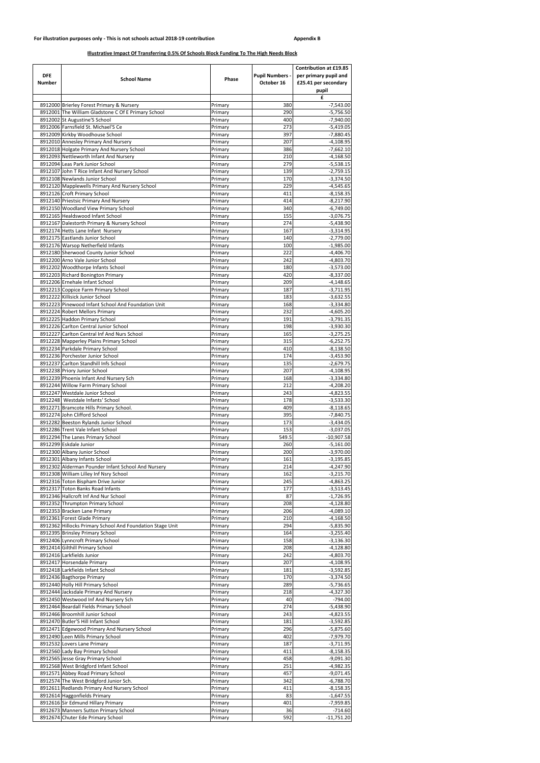| <b>DFE</b><br><b>Number</b> | <b>School Name</b>                                                                    | <b>Phase</b>       | <b>Pupil Numbers -</b><br>October 16 | <b>Contribution at £19.85</b><br>per primary pupil and<br>£25.41 per secondary<br>pupil |
|-----------------------------|---------------------------------------------------------------------------------------|--------------------|--------------------------------------|-----------------------------------------------------------------------------------------|
|                             |                                                                                       |                    |                                      | £                                                                                       |
|                             | 8912000 Brierley Forest Primary & Nursery                                             | Primary            | 380                                  | $-7,543.00$                                                                             |
|                             | 8912001 The William Gladstone C Of E Primary School<br>8912002 St Augustine'S School  | Primary<br>Primary | 290<br>400                           | $-5,756.50$<br>$-7,940.00$                                                              |
|                             | 8912006 Farnsfield St. Michael'S Ce                                                   | Primary            | 273                                  | $-5,419.05$                                                                             |
|                             | 8912009 Kirkby Woodhouse School                                                       | Primary            | 397                                  | $-7,880.45$                                                                             |
|                             | 8912010 Annesley Primary And Nursery                                                  | Primary            | 207                                  | $-4,108.95$                                                                             |
|                             | 8912018 Holgate Primary And Nursery School                                            | Primary            | 386                                  | $-7,662.10$                                                                             |
|                             | 8912093 Nettleworth Infant And Nursery                                                | Primary            | 210                                  | $-4,168.50$                                                                             |
|                             | 8912094 Leas Park Junior School                                                       | Primary            | 279                                  | $-5,538.15$                                                                             |
|                             | 8912107 John T Rice Infant And Nursery School<br>8912108 Newlands Junior School       | Primary            | 139<br>170                           | $-2,759.15$<br>$-3,374.50$                                                              |
|                             | 8912120 Mapplewells Primary And Nursery School                                        | Primary<br>Primary | 229                                  | $-4,545.65$                                                                             |
|                             | 8912126 Croft Primary School                                                          | Primary            | 411                                  | $-8,158.35$                                                                             |
|                             | 8912140 Priestsic Primary And Nursery                                                 | Primary            | 414                                  | $-8,217.90$                                                                             |
|                             | 8912150 Woodland View Primary School                                                  | Primary            | 340                                  | $-6,749.00$                                                                             |
|                             | 8912165 Healdswood Infant School                                                      | Primary            | 155                                  | $-3,076.75$                                                                             |
|                             | 8912167 Dalestorth Primary & Nursery School                                           | Primary            | 274                                  | $-5,438.90$                                                                             |
|                             | 8912174 Hetts Lane Infant Nurserv                                                     | Primary            | 167                                  | $-3,314.95$                                                                             |
|                             | 8912175 Eastlands Junior School<br>8912176 Warsop Netherfield Infants                 | Primary<br>Primary | 140<br>100                           | $-2,779.00$<br>$-1,985.00$                                                              |
|                             | 8912180 Sherwood County Junior School                                                 | Primary            | 222                                  | $-4,406.70$                                                                             |
|                             | 8912200 Arno Vale Junior School                                                       | Primary            | 242                                  | $-4,803.70$                                                                             |
|                             | 8912202 Woodthorpe Infants School                                                     | Primary            | 180                                  | $-3,573.00$                                                                             |
|                             | 8912203 Richard Bonington Primary                                                     | Primary            | 420                                  | $-8,337.00$                                                                             |
|                             | 8912206 Ernehale Infant School                                                        | Primary            | 209                                  | $-4,148.65$                                                                             |
|                             | 8912213 Coppice Farm Primary School                                                   | Primary            | 187                                  | $-3,711.95$                                                                             |
|                             | 8912222 Killisick Junior School<br>8912223 Pinewood Infant School And Foundation Unit | Primary            | 183                                  | $-3,632.55$                                                                             |
|                             | 8912224 Robert Mellors Primary                                                        | Primary<br>Primary | 168<br>232                           | $-3,334.80$<br>$-4,605.20$                                                              |
|                             | 8912225 Haddon Primary School                                                         | Primary            | 191                                  | $-3,791.35$                                                                             |
|                             | 8912226 Carlton Central Junior School                                                 | Primary            | 198                                  | $-3,930.30$                                                                             |
|                             | 8912227 Carlton Central Inf And Nurs School                                           | Primary            | 165                                  | $-3,275.25$                                                                             |
|                             | 8912228 Mapperley Plains Primary School                                               | Primary            | 315                                  | $-6,252.75$                                                                             |
|                             | 8912234 Parkdale Primary School                                                       | Primary            | 410                                  | $-8.138.50$                                                                             |
|                             | 8912236 Porchester Junior School                                                      | Primary            | 174                                  | $-3,453.90$                                                                             |
|                             | 8912237 Carlton Standhill Infs School<br>8912238 Priory Junior School                 | Primary<br>Primary | 135<br>207                           | $-2,679.75$<br>$-4,108.95$                                                              |
|                             | 8912239 Phoenix Infant And Nursery Sch                                                | Primary            | 168                                  | $-3,334.80$                                                                             |
|                             | 8912244 Willow Farm Primary School                                                    | Primary            | 212                                  | $-4,208.20$                                                                             |
|                             | 8912247 Westdale Junior School                                                        | Primary            | 243                                  | $-4,823.55$                                                                             |
|                             | 8912248 Westdale Infants' School                                                      | Primary            | 178                                  | $-3,533.30$                                                                             |
|                             | 8912271 Bramcote Hills Primary School.                                                | Primary            | 409                                  | $-8,118.65$                                                                             |
|                             | 8912274 John Clifford School                                                          | Primary            | 395                                  | $-7,840.75$                                                                             |
|                             | 8912282 Beeston Rylands Junior School<br>8912286 Trent Vale Infant School             | Primary<br>Primary | 173<br>153                           | $-3,434.05$<br>$-3,037.05$                                                              |
|                             | 8912294 The Lanes Primary School                                                      | Primary            | 549.5                                | $-10,907.58$                                                                            |
|                             | 8912299 Eskdale Junior                                                                | Primary            | 260                                  | $-5,161.00$                                                                             |
|                             | 8912300 Albany Junior School                                                          | Primary            | 200                                  | $-3,970.00$                                                                             |
|                             | 8912301 Albany Infants School                                                         | Primary            | 161                                  | $-3,195.85$                                                                             |
|                             | 8912302 Alderman Pounder Infant School And Nursery                                    | Primary            | 214                                  | $-4,247.90$                                                                             |
|                             | 8912308 William Lilley Inf Nsry School                                                | Primary            | 162                                  | $-3,215.70$                                                                             |
|                             | 8912316 Toton Bispham Drive Junior                                                    | Primary            | 245                                  | $-4,863.25$                                                                             |
|                             | 8912317 Toton Banks Road Infants<br>8912346 Hallcroft Inf And Nur School              | Primary<br>Primary | 177<br>87                            | $-3,513.45$                                                                             |
|                             | 8912352 Thrumpton Primary School                                                      | Primary            | 208                                  | $-1,726.95$<br>$-4,128.80$                                                              |
|                             | 8912353 Bracken Lane Primary                                                          | Primary            | 206                                  | $-4,089.10$                                                                             |
|                             | 8912361 Forest Glade Primary                                                          | Primary            | 210                                  | $-4,168.50$                                                                             |
|                             | 8912362 Hillocks Primary School And Foundation Stage Unit                             | Primary            | 294                                  | $-5,835.90$                                                                             |
|                             | 8912395 Brinsley Primary School                                                       | Primary            | 164                                  | $-3,255.40$                                                                             |
|                             | 8912406 Lynncroft Primary School                                                      | Primary            | 158                                  | $-3,136.30$                                                                             |
|                             | 8912414 Gilthill Primary School<br>8912416 Larkfields Junior                          | Primary            | 208<br>242                           | $-4,128.80$                                                                             |
|                             | 8912417 Horsendale Primary                                                            | Primary<br>Primary | 207                                  | $-4,803.70$<br>$-4,108.95$                                                              |
|                             | 8912418 Larkfields Infant School                                                      | Primary            | 181                                  | $-3,592.85$                                                                             |
|                             | 8912436 Bagthorpe Primary                                                             | Primary            | 170                                  | $-3,374.50$                                                                             |
|                             | 8912440 Holly Hill Primary School                                                     | Primary            | 289                                  | $-5,736.65$                                                                             |
|                             | 8912444 Jacksdale Primary And Nursery                                                 | Primary            | 218                                  | $-4,327.30$                                                                             |
|                             | 8912450 Westwood Inf And Nursery Sch                                                  | Primary            | 40                                   | $-794.00$                                                                               |
|                             | 8912464 Beardall Fields Primary School                                                | Primary            | 274                                  | $-5,438.90$                                                                             |
|                             | 8912466 Broomhill Junior School<br>8912470 Butler'S Hill Infant School                | Primary<br>Primary | 243<br>181                           | $-4,823.55$<br>$-3,592.85$                                                              |
|                             | 8912471 Edgewood Primary And Nursery School                                           | Primary            | 296                                  | $-5,875.60$                                                                             |
|                             | 8912490 Leen Mills Primary School                                                     | Primary            | 402                                  | $-7,979.70$                                                                             |
|                             | 8912532 Lovers Lane Primary                                                           | Primary            | 187                                  | $-3,711.95$                                                                             |
|                             | 8912560 Lady Bay Primary School                                                       | Primary            | 411                                  | $-8,158.35$                                                                             |
|                             | 8912565 Jesse Gray Primary School                                                     | Primary            | 458                                  | $-9,091.30$                                                                             |
|                             | 8912568 West Bridgford Infant School                                                  | Primary            | 251                                  | $-4,982.35$                                                                             |
|                             | 8912571 Abbey Road Primary School                                                     | Primary            | 457                                  | $-9,071.45$                                                                             |
|                             | 8912574 The West Bridgford Junior Sch.<br>8912611 Redlands Primary And Nursery School | Primary<br>Primary | 342<br>411                           | $-6,788.70$<br>$-8,158.35$                                                              |
|                             | 8912614 Haggonfields Primary                                                          | Primary            | 83                                   | $-1,647.55$                                                                             |
|                             | 8912616 Sir Edmund Hillary Primary                                                    | Primary            | 401                                  | $-7,959.85$                                                                             |
|                             | 8912673 Manners Sutton Primary School                                                 | Primary            | 36                                   | $-714.60$                                                                               |
|                             | 8912674 Chuter Ede Primary School                                                     | Primary            | 592                                  | $-11,751.20$                                                                            |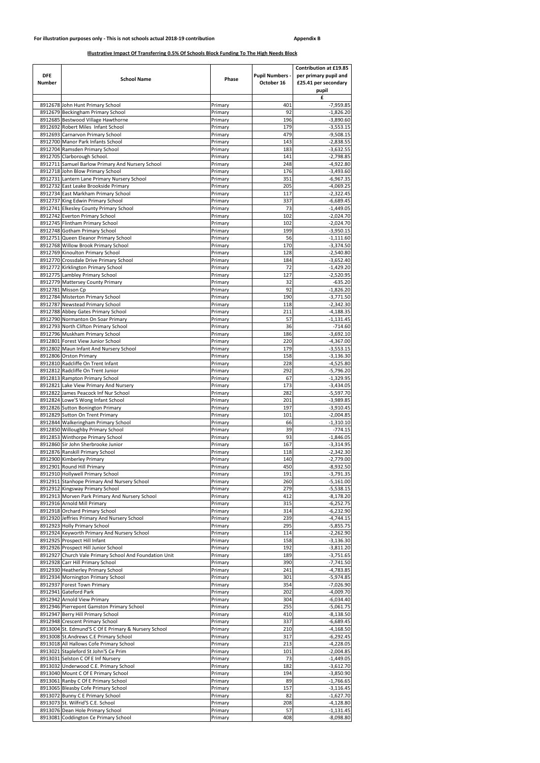| <b>DFE</b><br><b>Number</b> | <b>School Name</b>                                                                   | Phase              | <b>Pupil Numbers -</b><br>October 16 | <b>Contribution at £19.85</b><br>per primary pupil and<br>£25.41 per secondary<br>pupil |
|-----------------------------|--------------------------------------------------------------------------------------|--------------------|--------------------------------------|-----------------------------------------------------------------------------------------|
|                             | 8912678 John Hunt Primary School                                                     |                    |                                      | £<br>$-7,959.85$                                                                        |
|                             | 8912679 Beckingham Primary School                                                    | Primary<br>Primary | 401<br>92                            | $-1,826.20$                                                                             |
|                             | 8912685 Bestwood Village Hawthorne                                                   | Primary            | 196                                  | $-3,890.60$                                                                             |
|                             | 8912692 Robert Miles Infant School                                                   | Primary            | 179                                  | $-3,553.15$                                                                             |
|                             | 8912693 Carnarvon Primary School                                                     | Primary            | 479                                  | $-9,508.15$                                                                             |
|                             | 8912700 Manor Park Infants School                                                    | Primary            | 143                                  | $-2,838.55$                                                                             |
|                             | 8912704 Ramsden Primary School                                                       | Primary            | 183                                  | $-3,632.55$                                                                             |
|                             | 8912705 Clarborough School.                                                          | Primary            | 141                                  | $-2,798.85$                                                                             |
|                             | 8912711 Samuel Barlow Primary And Nursery School<br>8912718 John Blow Primary School | Primary<br>Primary | 248<br>176                           | $-4,922.80$<br>$-3,493.60$                                                              |
|                             | 8912731 Lantern Lane Primary Nursery School                                          | Primary            | 351                                  | $-6,967.35$                                                                             |
|                             | 8912732 East Leake Brookside Primary                                                 | Primary            | 205                                  | $-4,069.25$                                                                             |
|                             | 8912734 East Markham Primary School                                                  | Primary            | 117                                  | $-2,322.45$                                                                             |
|                             | 8912737 King Edwin Primary School                                                    | Primary            | 337                                  | $-6,689.45$                                                                             |
|                             | 8912741 Elkesley County Primary School                                               | Primary            | 73                                   | $-1,449.05$                                                                             |
|                             | 8912742 Everton Primary School                                                       | Primary            | 102                                  | $-2,024.70$                                                                             |
|                             | 8912745 Flintham Primary School                                                      | Primary            | 102                                  | $-2,024.70$                                                                             |
|                             | 8912748 Gotham Primary School                                                        | Primary            | 199                                  | $-3,950.15$                                                                             |
|                             | 8912751 Queen Eleanor Primary School                                                 | Primary<br>Primary | 56<br>170                            | $-1,111.60$<br>$-3,374.50$                                                              |
|                             | 8912768 Willow Brook Primary School<br>8912769 Kinoulton Primary School              | Primary            | 128                                  | $-2,540.80$                                                                             |
|                             | 8912770 Crossdale Drive Primary School                                               | Primary            | 184                                  | $-3,652.40$                                                                             |
|                             | 8912772 Kirklington Primary School                                                   | Primary            | 72                                   | $-1,429.20$                                                                             |
|                             | 8912775 Lambley Primary School                                                       | Primary            | 127                                  | $-2,520.95$                                                                             |
|                             | 8912779 Mattersey County Primary                                                     | Primary            | 32                                   | $-635.20$                                                                               |
|                             | 8912781 Misson Cp                                                                    | Primary            | 92                                   | $-1,826.20$                                                                             |
|                             | 8912784 Misterton Primary School                                                     | Primary            | 190                                  | $-3,771.50$                                                                             |
|                             | 8912787 Newstead Primary School                                                      | Primary            | 118                                  | $-2,342.30$                                                                             |
|                             | 8912788 Abbey Gates Primary School                                                   | Primary            | 211                                  | $-4,188.35$                                                                             |
|                             | 8912790 Normanton On Soar Primary                                                    | Primary            | 57                                   | $-1,131.45$                                                                             |
|                             | 8912793 North Clifton Primary School                                                 | Primary            | 36<br>186                            | $-714.60$<br>$-3,692.10$                                                                |
|                             | 8912796 Muskham Primary School<br>8912801 Forest View Junior School                  | Primary<br>Primary | 220                                  | $-4,367.00$                                                                             |
|                             | 8912802 Maun Infant And Nursery School                                               | Primary            | 179                                  | $-3,553.15$                                                                             |
|                             | 8912806 Orston Primary                                                               | Primary            | 158                                  | $-3,136.30$                                                                             |
|                             | 8912810 Radcliffe On Trent Infant                                                    | Primary            | 228                                  | $-4,525.80$                                                                             |
|                             | 8912812 Radcliffe On Trent Junior                                                    | Primary            | 292                                  | $-5,796.20$                                                                             |
|                             | 8912813 Rampton Primary School                                                       | Primary            | 67                                   | $-1,329.95$                                                                             |
|                             | 8912821 Lake View Primary And Nursery                                                | Primary            | 173                                  | $-3,434.05$                                                                             |
|                             | 8912822 James Peacock Inf Nur School                                                 | Primary            | 282                                  | $-5,597.70$                                                                             |
|                             | 8912824 Lowe'S Wong Infant School                                                    | Primary            | 201                                  | $-3,989.85$                                                                             |
|                             | 8912826 Sutton Bonington Primary<br>8912829 Sutton On Trent Primary                  | Primary<br>Primary | 197<br>101                           | $-3,910.45$<br>$-2,004.85$                                                              |
|                             | 8912844 Walkeringham Primary School                                                  | Primary            | 66                                   | $-1,310.10$                                                                             |
|                             | 8912850 Willoughby Primary School                                                    | Primary            | 39                                   | $-774.15$                                                                               |
|                             | 8912853 Winthorpe Primary School                                                     | Primary            | 93                                   | $-1,846.05$                                                                             |
|                             | 8912860 Sir John Sherbrooke Junior                                                   | Primary            | 167                                  | $-3,314.95$                                                                             |
|                             | 8912876 Ranskill Primary School                                                      | Primary            | 118                                  | $-2,342.30$                                                                             |
|                             | 8912900 Kimberley Primary                                                            | Primary            | 140                                  | $-2,779.00$                                                                             |
|                             | 8912901 Round Hill Primary                                                           | Primary            | 450                                  | $-8,932.50$                                                                             |
|                             | 8912910 Hollywell Primary School                                                     | Primary            | 191                                  | $-3,791.35$                                                                             |
|                             | 8912911 Stanhope Primary And Nursery School                                          | Primary            | 260<br>279                           | $-5,161.00$                                                                             |
|                             | 8912912 Kingsway Primary School<br>8912913 Morven Park Primary And Nursery School    | Primary<br>Primary | 412                                  | $-5,538.15$<br>$-8,178.20$                                                              |
|                             | 8912916 Arnold Mill Primary                                                          | Primary            | 315                                  | $-6,252.75$                                                                             |
|                             | 8912918 Orchard Primary School                                                       | Primary            | 314                                  | $-6,232.90$                                                                             |
|                             | 8912920 Jeffries Primary And Nursery School                                          | Primary            | 239                                  | $-4,744.15$                                                                             |
|                             | 8912923 Holly Primary School                                                         | Primary            | 295                                  | $-5,855.75$                                                                             |
|                             | 8912924 Keyworth Primary And Nursery School                                          | Primary            | 114                                  | $-2,262.90$                                                                             |
|                             | 8912925 Prospect Hill Infant                                                         | Primary            | 158                                  | $-3,136.30$                                                                             |
|                             | 8912926 Prospect Hill Junior School                                                  | Primary            | 192                                  | $-3,811.20$                                                                             |
|                             | 8912927 Church Vale Primary School And Foundation Unit                               | Primary            | 189                                  | $-3,751.65$                                                                             |
|                             | 8912928 Carr Hill Primary School<br>8912930 Heatherley Primary School                | Primary<br>Primary | 390<br>241                           | $-7,741.50$<br>$-4,783.85$                                                              |
|                             | 8912934 Mornington Primary School                                                    | Primary            | 301                                  | $-5,974.85$                                                                             |
|                             | 8912937 Forest Town Primary                                                          | Primary            | 354                                  | $-7,026.90$                                                                             |
|                             | 8912941 Gateford Park                                                                | Primary            | 202                                  | $-4,009.70$                                                                             |
|                             | 8912942 Arnold View Primary                                                          | Primary            | 304                                  | $-6,034.40$                                                                             |
|                             | 8912946 Pierrepont Gamston Primary School                                            | Primary            | 255                                  | $-5,061.75$                                                                             |
|                             | 8912947 Berry Hill Primary School                                                    | Primary            | 410                                  | $-8,138.50$                                                                             |
|                             | 8912948 Crescent Primary School                                                      | Primary            | 337                                  | $-6,689.45$                                                                             |
|                             | 8913004 St. Edmund'S C Of E Primary & Nursery School                                 | Primary            | 210                                  | $-4,168.50$                                                                             |
|                             | 8913008 St.Andrews C.E Primary School                                                | Primary            | 317                                  | $-6,292.45$                                                                             |
|                             | 8913018 All Hallows Cofe Primary School                                              | Primary            | 213                                  | $-4,228.05$                                                                             |
|                             | 8913021 Stapleford St John'S Ce Prim<br>8913031 Selston C Of E Inf Nursery           | Primary<br>Primary | 101<br>73                            | $-2,004.85$<br>$-1,449.05$                                                              |
|                             | 8913032 Underwood C.E. Primary School                                                | Primary            | 182                                  | $-3,612.70$                                                                             |
|                             | 8913040 Mount C Of E Primary School                                                  | Primary            | 194                                  | $-3,850.90$                                                                             |
|                             | 8913061 Ranby C Of E Primary School                                                  | Primary            | 89                                   | $-1,766.65$                                                                             |
|                             | 8913065 Bleasby Cofe Primary School                                                  | Primary            | 157                                  | $-3,116.45$                                                                             |
|                             | 8913072 Bunny C E Primary School                                                     | Primary            | 82                                   | $-1,627.70$                                                                             |
|                             | 8913073 St. Wilfrid'S C.E. School                                                    | Primary            | 208                                  | $-4,128.80$                                                                             |
|                             | 8913076 Dean Hole Primary School                                                     | Primary            | 57                                   | $-1,131.45$                                                                             |
|                             | 8913081 Coddington Ce Primary School                                                 | Primary            | 408                                  | $-8,098.80$                                                                             |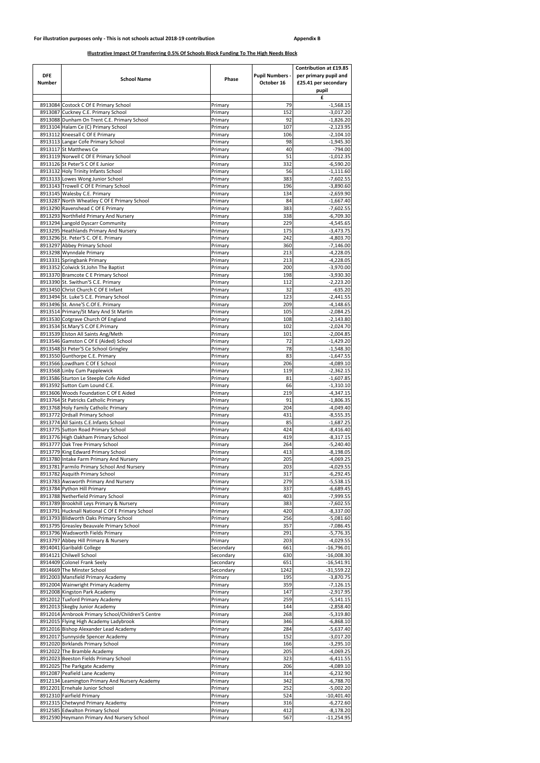| <b>DFE</b><br><b>Number</b> | <b>School Name</b>                                                                       | Phase                  | <b>Pupil Numbers -</b><br>October 16 | <b>Contribution at £19.85</b><br>per primary pupil and<br>£25.41 per secondary<br>pupil |
|-----------------------------|------------------------------------------------------------------------------------------|------------------------|--------------------------------------|-----------------------------------------------------------------------------------------|
|                             |                                                                                          |                        |                                      | £                                                                                       |
|                             | 8913084 Costock C Of E Primary School                                                    | Primary                | 79<br>152                            | $-1,568.15$                                                                             |
|                             | 8913087 Cuckney C.E. Primary School<br>8913088 Dunham On Trent C.E. Primary School       | Primary<br>Primary     | 92                                   | $-3,017.20$<br>$-1,826.20$                                                              |
|                             | 8913104 Halam Ce (C) Primary School                                                      | Primary                | 107                                  | $-2,123.95$                                                                             |
|                             | 8913112 Kneesall C Of E Primary                                                          | Primary                | 106                                  | $-2,104.10$                                                                             |
|                             | 8913113 Langar Cofe Primary School                                                       | Primary                | 98                                   | $-1,945.30$                                                                             |
|                             | 8913117 St Matthews Ce<br>8913119 Norwell C Of E Primary School                          | Primary<br>Primary     | 40<br>51                             | $-794.00$<br>$-1,012.35$                                                                |
|                             | 8913126 St Peter'S C Of E Junior                                                         | Primary                | 332                                  | $-6,590.20$                                                                             |
|                             | 8913132 Holy Trinity Infants School                                                      | Primary                | 56                                   | $-1,111.60$                                                                             |
|                             | 8913133 Lowes Wong Junior School                                                         | Primary                | 383                                  | $-7,602.55$                                                                             |
|                             | 8913143 Trowell C Of E Primary School                                                    | Primary                | 196                                  | $-3,890.60$                                                                             |
|                             | 8913145 Walesby C.E. Primary<br>8913287 North Wheatley C Of E Primary School             | Primary<br>Primary     | 134<br>84                            | $-2,659.90$<br>$-1,667.40$                                                              |
|                             | 8913290 Ravenshead C Of E Primary                                                        | Primary                | 383                                  | $-7,602.55$                                                                             |
|                             | 8913293 Northfield Primary And Nursery                                                   | Primary                | 338                                  | $-6,709.30$                                                                             |
|                             | 8913294 Langold Dyscarr Community                                                        | Primary                | 229                                  | $-4,545.65$                                                                             |
|                             | 8913295 Heathlands Primary And Nursery                                                   | Primary                | 175                                  | $-3,473.75$                                                                             |
|                             | 8913296 St. Peter'S C. Of E. Primary                                                     | Primary                | 242                                  | $-4,803.70$                                                                             |
|                             | 8913297 Abbey Primary School<br>8913298 Wynndale Primary                                 | Primary<br>Primary     | 360<br>213                           | $-7,146.00$<br>$-4,228.05$                                                              |
|                             | 8913331 Springbank Primary                                                               | Primary                | 213                                  | $-4,228.05$                                                                             |
|                             | 8913352 Colwick St.John The Baptist                                                      | Primary                | 200                                  | $-3,970.00$                                                                             |
|                             | 8913370 Bramcote C E Primary School                                                      | Primary                | 198                                  | $-3,930.30$                                                                             |
|                             | 8913390 St. Swithun'S C.E. Primary                                                       | Primary                | 112                                  | $-2,223.20$                                                                             |
|                             | 8913450 Christ Church C Of E Infant                                                      | Primary                | 32                                   | $-635.20$                                                                               |
|                             | 8913494 St. Luke'S C.E. Primary School<br>8913496 St. Anne'S C.Of E. Primary             | Primary<br>Primary     | 123<br>209                           | $-2,441.55$<br>$-4,148.65$                                                              |
|                             | 8913514 Primary/St Mary And St Martin                                                    | Primary                | 105                                  | $-2,084.25$                                                                             |
|                             | 8913530 Cotgrave Church Of England                                                       | Primary                | 108                                  | $-2,143.80$                                                                             |
|                             | 8913534 St.Mary'S C.Of E.Primary                                                         | Primary                | 102                                  | $-2,024.70$                                                                             |
|                             | 8913539 Elston All Saints Ang/Meth                                                       | Primary                | 101                                  | $-2,004.85$                                                                             |
|                             | 8913546 Gamston C Of E (Aided) School                                                    | Primary                | 72                                   | $-1,429.20$                                                                             |
|                             | 8913548 St Peter'S Ce School Gringley                                                    | Primary                | 78                                   | $-1,548.30$                                                                             |
|                             | 8913550 Gunthorpe C.E. Primary<br>8913566 Lowdham C Of E School                          | Primary<br>Primary     | 83<br>206                            | $-1,647.55$<br>$-4,089.10$                                                              |
|                             | 8913568 Linby Cum Papplewick                                                             | Primary                | 119                                  | $-2,362.15$                                                                             |
|                             | 8913586 Sturton Le Steeple Cofe Aided                                                    | Primary                | 81                                   | $-1,607.85$                                                                             |
|                             | 8913592 Sutton Cum Lound C.E.                                                            | Primary                | 66                                   | $-1,310.10$                                                                             |
|                             | 8913606 Woods Foundation C Of E Aided                                                    | Primary                | 219                                  | $-4,347.15$                                                                             |
|                             | 8913764 St Patricks Catholic Primary                                                     | Primary                | 91                                   | $-1,806.35$                                                                             |
|                             | 8913768 Holy Family Catholic Primary<br>8913772 Ordsall Primary School                   | Primary<br>Primary     | 204<br>431                           | $-4,049.40$<br>$-8,555.35$                                                              |
|                             | 8913774 All Saints C.E. Infants School                                                   | Primary                | 85                                   | $-1,687.25$                                                                             |
|                             | 8913775 Sutton Road Primary School                                                       | Primary                | 424                                  | $-8,416.40$                                                                             |
|                             | 8913776 High Oakham Primary School                                                       | Primary                | 419                                  | $-8,317.15$                                                                             |
|                             | 8913777 Oak Tree Primary School                                                          | Primary                | 264                                  | $-5,240.40$                                                                             |
|                             | 8913779 King Edward Primary School                                                       | Primary                | 413                                  | $-8,198.05$                                                                             |
|                             | 8913780 Intake Farm Primary And Nursery<br>8913781 Farmilo Primary School And Nursery    | Primary<br>Primary     | 205<br>203                           | $-4,069.25$<br>-4,029.55                                                                |
|                             | 8913782 Asquith Primary School                                                           | Primary                | 317                                  | $-6,292.45$                                                                             |
|                             | 8913783 Awsworth Primary And Nursery                                                     | Primary                | 279                                  | $-5,538.15$                                                                             |
|                             | 8913784 Python Hill Primary                                                              | Primary                | 337                                  | $-6,689.45$                                                                             |
|                             | 8913788 Netherfield Primary School                                                       | Primary                | 403                                  | $-7,999.55$                                                                             |
|                             | 8913789 Brookhill Leys Primary & Nursery                                                 | Primary                | 383                                  | $-7,602.55$                                                                             |
|                             | 8913791 Hucknall National C Of E Primary School<br>8913793 Blidworth Oaks Primary School | Primary<br>Primary     | 420<br>256                           | $-8,337.00$<br>$-5,081.60$                                                              |
|                             | 8913795 Greasley Beauvale Primary School                                                 | Primary                | 357                                  | $-7,086.45$                                                                             |
|                             | 8913796 Wadsworth Fields Primary                                                         | Primary                | 291                                  | $-5,776.35$                                                                             |
|                             | 8913797 Abbey Hill Primary & Nursery                                                     | Primary                | 203                                  | $-4,029.55$                                                                             |
|                             | 8914041 Garibaldi College                                                                | Secondary              | 661                                  | $-16,796.01$                                                                            |
|                             | 8914121 Chilwell School                                                                  | Secondary              | 630                                  | $-16,008.30$                                                                            |
|                             | 8914409 Colonel Frank Seely<br>8914669 The Minster School                                | Secondary<br>Secondary | 651<br>1242                          | $-16,541.91$<br>$-31,559.22$                                                            |
|                             | 8912003 Mansfield Primary Academy                                                        | Primary                | 195                                  | $-3,870.75$                                                                             |
|                             | 8912004 Wainwright Primary Academy                                                       | Primary                | 359                                  | $-7,126.15$                                                                             |
|                             | 8912008 Kingston Park Academy                                                            | Primary                | 147                                  | $-2,917.95$                                                                             |
|                             | 8912012 Tuxford Primary Academy                                                          | Primary                | 259                                  | $-5,141.15$                                                                             |
|                             | 8912013 Skegby Junior Academy                                                            | Primary                | 144                                  | $-2,858.40$                                                                             |
|                             | 8912014 Arnbrook Primary School/Children'S Centre                                        | Primary                | 268                                  | $-5,319.80$                                                                             |
|                             | 8912015 Flying High Academy Ladybrook<br>8912016 Bishop Alexander Lead Academy           | Primary<br>Primary     | 346<br>284                           | $-6,868.10$<br>$-5,637.40$                                                              |
|                             | 8912017 Sunnyside Spencer Academy                                                        | Primary                | 152                                  | $-3,017.20$                                                                             |
|                             | 8912020 Birklands Primary School                                                         | Primary                | 166                                  | $-3,295.10$                                                                             |
|                             | 8912022 The Bramble Academy                                                              | Primary                | 205                                  | $-4,069.25$                                                                             |
|                             | 8912023 Beeston Fields Primary School                                                    | Primary                | 323                                  | $-6,411.55$                                                                             |
|                             | 8912025 The Parkgate Academy                                                             | Primary                | 206                                  | $-4,089.10$                                                                             |
|                             | 8912087 Peafield Lane Academy                                                            | Primary                | 314                                  | $-6,232.90$                                                                             |
|                             | 8912134 Leamington Primary And Nursery Academy<br>8912201 Ernehale Junior School         | Primary<br>Primary     | 342<br>252                           | $-6,788.70$<br>$-5,002.20$                                                              |
|                             | 8912310 Fairfield Primary                                                                | Primary                | 524                                  | $-10,401.40$                                                                            |
|                             | 8912315 Chetwynd Primary Academy                                                         | Primary                | 316                                  | $-6,272.60$                                                                             |
|                             | 8912585 Edwalton Primary School                                                          | Primary                | 412                                  | $-8,178.20$                                                                             |
|                             | 8912590 Heymann Primary And Nursery School                                               | Primary                | 567                                  | $-11,254.95$                                                                            |